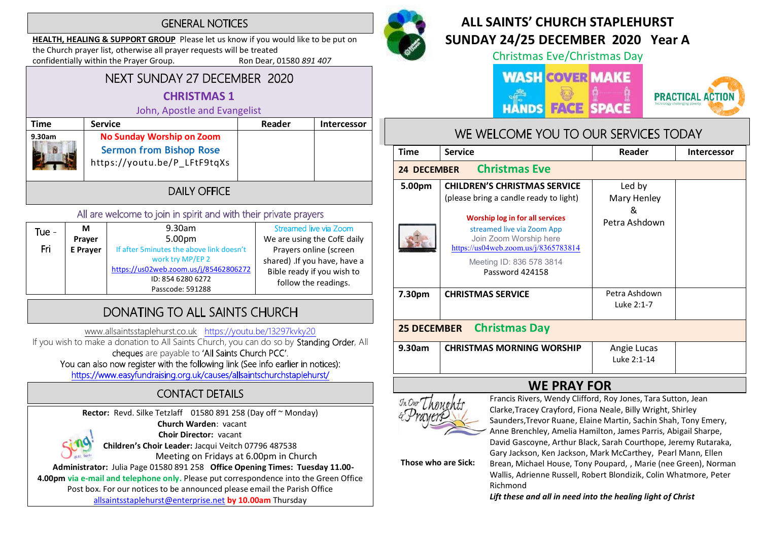#### **GENERAL NOTICES**

HEALTH, HEALING & SUPPORT GROUP Please let us know if you would like to be put on the Church prayer list, otherwise all prayer requests will be treated confidentially within the Prayer Group. Ron Dear, 01580 891 407

#### NEXT SUNDAY 27 DECEMBER 2020 CHRISTMAS 1

#### John, Apostle and Evangelist

| <b>JUILL, ADUJUL UILL LYUIKUIJU</b> |                                                                                                    |        |                    |  |
|-------------------------------------|----------------------------------------------------------------------------------------------------|--------|--------------------|--|
| Time                                | <b>Service</b>                                                                                     | Reader | <b>Intercessor</b> |  |
| 9.30am                              | <b>No Sunday Worship on Zoom</b><br><b>Sermon from Bishop Rose</b><br>https://youtu.be/P LFtF9tqXs |        |                    |  |
| I) AII Y () FFI(F                   |                                                                                                    |        |                    |  |

#### All are welcome to join in spirit and with their private prayers

| Tue - | М               | 9.30am                                    | Streamed live via Zoom       |
|-------|-----------------|-------------------------------------------|------------------------------|
|       | Prayer          | 5.00pm                                    | We are using the CofE daily  |
| Fri   | <b>E</b> Prayer | If after 5 minutes the above link doesn't | Prayers online (screen       |
|       |                 | work try MP/EP 2                          | shared) .If you have, have a |
|       |                 | https://us02web.zoom.us/j/85462806272     | Bible ready if you wish to   |
|       |                 | ID: 854 6280 6272                         | follow the readings.         |
|       |                 | Passcode: 591288                          |                              |

# DONATING TO ALL SAINTS CHURCH

www.allsaintsstaplehurst.co.uk https://youtu.be/13297kvky20

If you wish to make a donation to All Saints Church, you can do so by **Standing Order**, All cheques are payable to 'All Saints Church PCC'. You can also now register with the following link (See info earlier in notices):

https://www.easyfundraising.org.uk/causes/allsaintschurchstaplehurst/

# **CONTACT DETAILS**

Rector: Revd. Silke Tetzlaff 01580 891 258 (Day off ~ Monday) Church Warden: vacant Choir Director: vacant Children's Choir Leader: Jacqui Veitch 07796 487538 Meeting on Fridays at 6.00pm in Church Administrator: Julia Page 01580 891 258 Office Opening Times: Tuesday 11.00- 4.00pm via e-mail and telephone only. Please put correspondence into the Green Office

Post box. For our notices to be announced please email the Parish Office allsaintsstaplehurst@enterprise.net by 10.00am Thursday



# ALL SAINTS' CHURCH STAPI FHURST SUNDAY 24/25 DECEMBER 2020 Year A

Christmas Eve/Christmas Day

## **WASH COVER MAKE FACE HANDS**



## WE WELCOME YOU TO OUR SERVICES TODAY

| <b>Time</b>                                | <b>Service</b>                                                                                                                                                                                                                                                  | Reader                                      | <b>Intercessor</b> |  |  |
|--------------------------------------------|-----------------------------------------------------------------------------------------------------------------------------------------------------------------------------------------------------------------------------------------------------------------|---------------------------------------------|--------------------|--|--|
| <b>Christmas Eve</b><br><b>24 DECEMBER</b> |                                                                                                                                                                                                                                                                 |                                             |                    |  |  |
| 5.00pm                                     | <b>CHILDREN'S CHRISTMAS SERVICE</b><br>(please bring a candle ready to light)<br>Worship log in for all services<br>streamed live via Zoom App<br>Join Zoom Worship here<br>https://us04web.zoom.us/j/8365783814<br>Meeting ID: 836 578 3814<br>Password 424158 | Led by<br>Mary Henley<br>&<br>Petra Ashdown |                    |  |  |
| 7.30pm                                     | <b>CHRISTMAS SERVICE</b>                                                                                                                                                                                                                                        | Petra Ashdown<br>Luke 2:1-7                 |                    |  |  |
| <b>Christmas Day</b><br><b>25 DECEMBER</b> |                                                                                                                                                                                                                                                                 |                                             |                    |  |  |
| 9.30am                                     | <b>CHRISTMAS MORNING WORSHIP</b>                                                                                                                                                                                                                                | Angie Lucas<br>Luke 2:1-14                  |                    |  |  |



**WE PRAY FOR**<br>Francis Rivers, Wendy Clifford, Roy Jones, Tara Sutton, Jean Clarke,Tracey Crayford, Fiona Neale, Billy Wright, Shirley Saunders,Trevor Ruane, Elaine Martin, Sachin Shah, Tony Emery, Anne Brenchley, Amelia Hamilton, James Parris, Abigail Sharpe, David Gascoyne, Arthur Black, Sarah Courthope, Jeremy Rutaraka, Gary Jackson, Ken Jackson, Mark McCarthey, Pearl Mann, Ellen

Those who are Sick:

Brean, Michael House, Tony Poupard, , Marie (nee Green), Norman Wallis, Adrienne Russell, Robert Blondizik, Colin Whatmore, Peter Richmond

Lift these and all in need into the healing light of Christ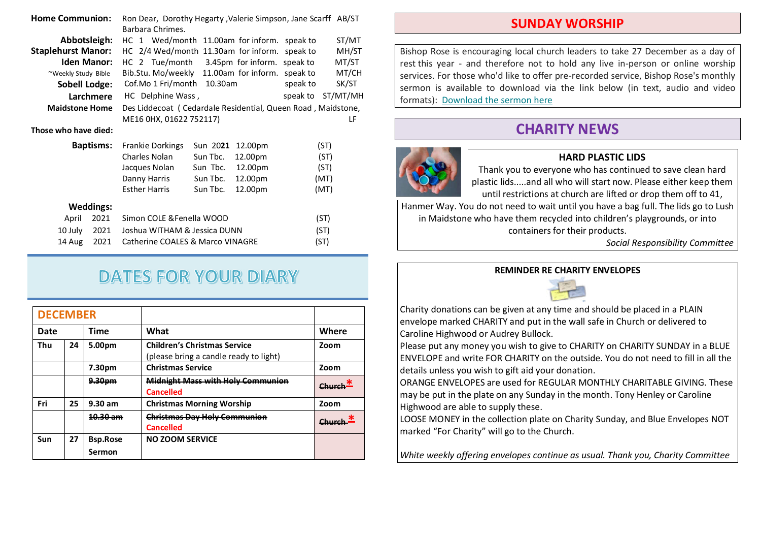| <b>Home Communion:</b>    |                  | Ron Dear, Dorothy Hegarty, Valerie Simpson, Jane Scarff AB/ST |          |         |          |          |
|---------------------------|------------------|---------------------------------------------------------------|----------|---------|----------|----------|
|                           |                  | Barbara Chrimes.                                              |          |         |          |          |
| Abbotsleigh:              |                  | HC 1 Wed/month 11.00am for inform. speak to                   |          |         |          | ST/MT    |
| <b>Staplehurst Manor:</b> |                  | HC 2/4 Wed/month 11.30am for inform. speak to                 |          |         |          | MH/ST    |
| <b>Iden Manor:</b>        |                  | HC 2 Tue/month 3.45pm for inform. speak to                    |          |         |          | MT/ST    |
| ~Weekly Study Bible       |                  | Bib.Stu. Mo/weekly 11.00am for inform. speak to               |          |         |          | MT/CH    |
| <b>Sobell Lodge:</b>      |                  | Cof.Mo 1 Fri/month                                            | 10.30am  |         | speak to | SK/ST    |
|                           | Larchmere        | HC Delphine Wass,                                             |          |         | speak to | ST/MT/MH |
| <b>Maidstone Home</b>     |                  | Des Liddecoat (Cedardale Residential, Queen Road, Maidstone,  |          |         |          |          |
|                           |                  | ME16 0HX, 01622 752117)                                       |          |         |          | LF       |
| Those who have died:      |                  |                                                               |          |         |          |          |
|                           | <b>Baptisms:</b> | <b>Frankie Dorkings</b>                                       | Sun 2021 | 12.00pm |          | (ST)     |
|                           |                  | Charles Nolan                                                 | Sun Tbc. | 12.00pm |          | (ST)     |
|                           |                  | Jacques Nolan                                                 | Sun Tbc. | 12.00pm |          | (ST)     |
|                           |                  | Danny Harris                                                  | Sun Tbc. | 12.00pm |          | (MT)     |
|                           |                  | <b>Esther Harris</b>                                          | Sun Tbc. | 12.00pm |          | (MT)     |
|                           | <b>Weddings:</b> |                                                               |          |         |          |          |
| April                     | 2021             | Simon COLE & Fenella WOOD                                     |          |         |          | (ST)     |
| 10 July                   | 2021             | Joshua WITHAM & Jessica DUNN<br>(ST)                          |          |         |          |          |
| 14 Aug                    | 2021             | Catherine COALES & Marco VINAGRE<br>(ST)                      |          |         |          |          |

# **DATES FOR YOUR DIARY**

| <b>DECEMBER</b> |    |                           |                                                                               |       |
|-----------------|----|---------------------------|-------------------------------------------------------------------------------|-------|
| Date            |    | <b>Time</b>               | What                                                                          | Where |
| Thu             | 24 | 5.00pm                    | <b>Children's Christmas Service</b><br>(please bring a candle ready to light) | Zoom  |
|                 |    | 7.30pm                    | <b>Christmas Service</b>                                                      | Zoom  |
|                 |    | 9.30pm                    | <b>Midnight Mass with Holy Communion</b><br><b>Cancelled</b>                  |       |
| Fri             | 25 | $9.30$ am                 | <b>Christmas Morning Worship</b>                                              | Zoom  |
|                 |    | 10.30 am                  | <b>Christmas Day Holy Communion</b><br><b>Cancelled</b>                       |       |
| Sun             | 27 | <b>Bsp.Rose</b><br>Sermon | <b>NO ZOOM SERVICE</b>                                                        |       |

#### SUNDAY WORSHIP

Bishop Rose is encouraging local church leaders to take 27 December as a day of rest this year - and therefore not to hold any live in-person or online worship services. For those who'd like to offer pre-recorded service, Bishop Rose's monthly sermon is available to download via the link below (in text, audio and video formats): Download the sermon here

## CHARITY NEWS



#### HARD PLASTIC LIDS

Thank you to everyone who has continued to save clean hard plastic lids.....and all who will start now. Please either keep them until restrictions at church are lifted or drop them off to 41,

Hanmer Way. You do not need to wait until you have a bag full. The lids go to Lush in Maidstone who have them recycled into children's playgrounds, or into containers for their products.

Social Responsibility Committee

#### REMINDER RE CHARITY ENVELOPES



Charity donations can be given at any time and should be placed in a PLAIN envelope marked CHARITY and put in the wall safe in Church or delivered to Caroline Highwood or Audrey Bullock.

Please put any money you wish to give to CHARITY on CHARITY SUNDAY in a BLUE ENVELOPE and write FOR CHARITY on the outside. You do not need to fill in all the details unless you wish to gift aid your donation.

ORANGE ENVELOPES are used for REGULAR MONTHLY CHARITABLE GIVING. These may be put in the plate on any Sunday in the month. Tony Henley or Caroline Highwood are able to supply these.

LOOSE MONEY in the collection plate on Charity Sunday, and Blue Envelopes NOT marked "For Charity" will go to the Church.

White weekly offering envelopes continue as usual. Thank you, Charity Committee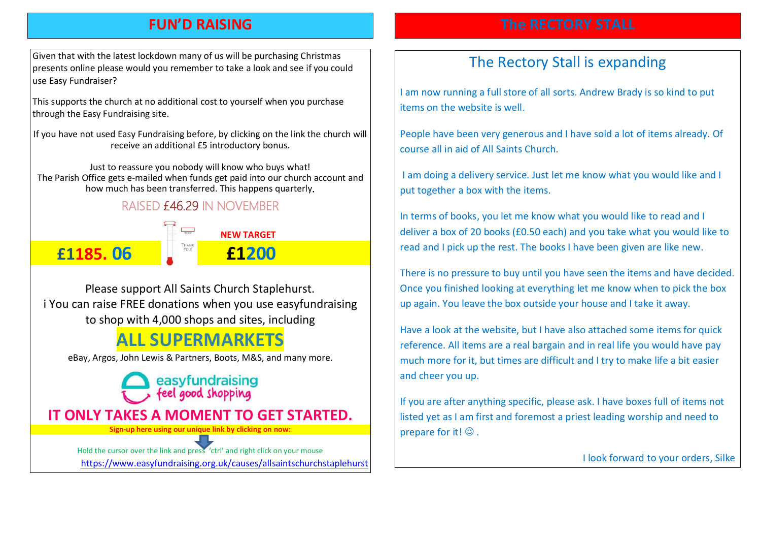## FUN'D RAISING

Given that with the latest lockdown many of us will be purchasing Christmas presents online please would you remember to take a look and see if you could use Easy Fundraiser?

This supports the church at no additional cost to yourself when you purchase through the Easy Fundraising site.

If you have not used Easy Fundraising before, by clicking on the link the church will receive an additional £5 introductory bonus.

Just to reassure you nobody will know who buys what! The Parish Office gets e-mailed when funds get paid into our church account and how much has been transferred. This happens quarterly

### **RAISED £46.29 IN NOVEMBER**



Please support All Saints Church Staplehurst. i You can raise FREE donations when you use easyfundraising to shop with 4,000 shops and sites, including

# ALL SUPERMARKETS

eBay, Argos, John Lewis & Partners, Boots, M&S, and many more.

easyfundraising feel good shopping IT ONLY TAKES A MOMENT TO GET STARTED. Sign-up here using our unique link by clicking on now:

Hold the cursor over the link and press 'ctrl' and right click on your mouse https://www.easyfundraising.org.uk/causes/allsaintschurchstaplehurst

# The Rectory Stall is expanding

I am now running a full store of all sorts. Andrew Brady is so kind to put items on the website is well.

People have been very generous and I have sold a lot of items already. Of course all in aid of All Saints Church.

I am doing a delivery service. Just let me know what you would like and I put together a box with the items.

In terms of books, you let me know what you would like to read and I deliver a box of 20 books (£0.50 each) and you take what you would like to read and I pick up the rest. The books I have been given are like new.

There is no pressure to buy until you have seen the items and have decided. Once you finished looking at everything let me know when to pick the box up again. You leave the box outside your house and I take it away.

Have a look at the website, but I have also attached some items for quick reference. All items are a real bargain and in real life you would have pay much more for it, but times are difficult and I try to make life a bit easier and cheer you up.

If you are after anything specific, please ask. I have boxes full of items not listed yet as I am first and foremost a priest leading worship and need to prepare for it!  $\odot$  .

I look forward to your orders, Silke